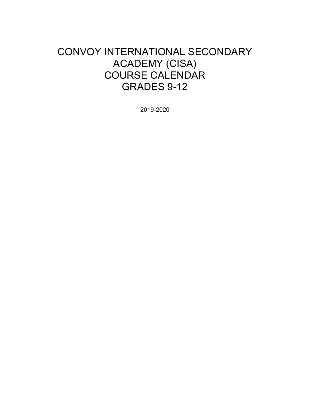# CONVOY INTERNATIONAL SECONDARY ACADEMY (CISA) COURSE CALENDAR GRADES 9-12

2019-2020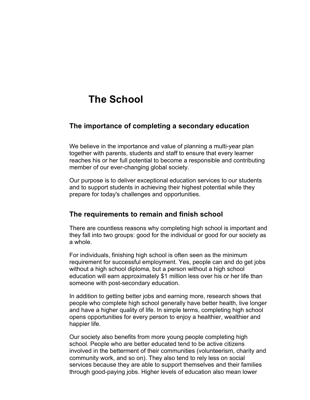# **The School**

# **The importance of completing a secondary education**

We believe in the importance and value of planning a multi-year plan together with parents, students and staff to ensure that every learner reaches his or her full potential to become a responsible and contributing member of our ever-changing global society.

Our purpose is to deliver exceptional education services to our students and to support students in achieving their highest potential while they prepare for today's challenges and opportunities.

# **The requirements to remain and finish school**

There are countless reasons why completing high school is important and they fall into two groups: good for the individual or good for our society as a whole.

For individuals, finishing high school is often seen as the minimum requirement for successful employment. Yes, people can and do get jobs without a high school diploma, but a person without a high school education will earn approximately \$1 million less over his or her life than someone with post-secondary education.

In addition to getting better jobs and earning more, research shows that people who complete high school generally have better health, live longer and have a higher quality of life. In simple terms, completing high school opens opportunities for every person to enjoy a healthier, wealthier and happier life.

Our society also benefits from more young people completing high school. People who are better educated tend to be active citizens involved in the betterment of their communities (volunteerism, charity and community work, and so on). They also tend to rely less on social services because they are able to support themselves and their families through good-paying jobs. Higher levels of education also mean lower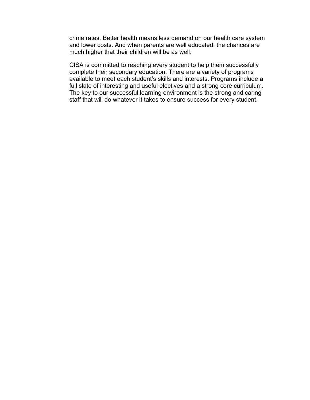crime rates. Better health means less demand on our health care system and lower costs. And when parents are well educated, the chances are much higher that their children will be as well.

CISA is committed to reaching every student to help them successfully complete their secondary education. There are a variety of programs available to meet each student's skills and interests. Programs include a full slate of interesting and useful electives and a strong core curriculum. The key to our successful learning environment is the strong and caring staff that will do whatever it takes to ensure success for every student.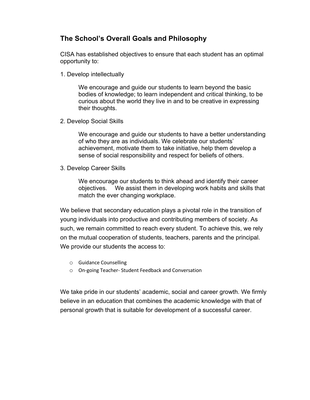# **The School's Overall Goals and Philosophy**

CISA has established objectives to ensure that each student has an optimal opportunity to:

1. Develop intellectually

We encourage and guide our students to learn beyond the basic bodies of knowledge; to learn independent and critical thinking, to be curious about the world they live in and to be creative in expressing their thoughts.

2. Develop Social Skills

We encourage and guide our students to have a better understanding of who they are as individuals. We celebrate our students' achievement, motivate them to take initiative, help them develop a sense of social responsibility and respect for beliefs of others.

3. Develop Career Skills

We encourage our students to think ahead and identify their career objectives. We assist them in developing work habits and skills that match the ever changing workplace.

We believe that secondary education plays a pivotal role in the transition of young individuals into productive and contributing members of society. As such, we remain committed to reach every student. To achieve this, we rely on the mutual cooperation of students, teachers, parents and the principal. We provide our students the access to:

- o Guidance Counselling
- o On-going Teacher- Student Feedback and Conversation

We take pride in our students' academic, social and career growth. We firmly believe in an education that combines the academic knowledge with that of personal growth that is suitable for development of a successful career.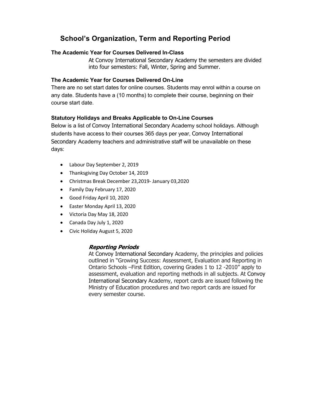# **School's Organization, Term and Reporting Period**

#### **The Academic Year for Courses Delivered In-Class**

At Convoy International Secondary Academy the semesters are divided into four semesters: Fall, Winter, Spring and Summer.

## **The Academic Year for Courses Delivered On-Line**

There are no set start dates for online courses. Students may enrol within a course on any date. Students have a (10 months) to complete their course, beginning on their course start date.

## **Statutory Holidays and Breaks Applicable to On-Line Courses**

Below is a list of Convoy International Secondary Academy school holidays. Although students have access to their courses 365 days per year, Convoy International Secondary Academy teachers and administrative staff will be unavailable on these days:

- Labour Day September 2, 2019
- Thanksgiving Day October 14, 2019
- Christmas Break December 23,2019- January 03,2020
- Family Day February 17, 2020
- Good Friday April 10, 2020
- Easter Monday April 13, 2020
- Victoria Day May 18, 2020
- Canada Day July 1, 2020
- Civic Holiday August 5, 2020

## **Reporting Periods**

At Convoy International Secondary Academy, the principles and policies outlined in "Growing Success: Assessment, Evaluation and Reporting in Ontario Schools –First Edition, covering Grades 1 to 12 -2010" apply to assessment, evaluation and reporting methods in all subjects. At Convoy International Secondary Academy, report cards are issued following the Ministry of Education procedures and two report cards are issued for every semester course.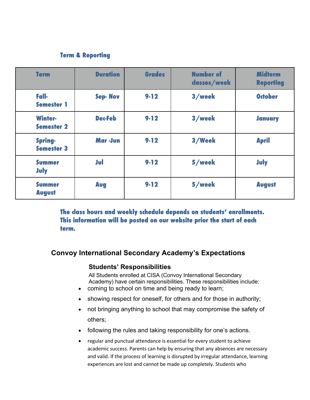# **Term & Reporting**

| <b>Term</b>                         | <b>Duration</b> | <b>Grades</b> | <b>Number of</b><br>dasses/week | <b>Midterm</b><br><b>Reporting</b> |
|-------------------------------------|-----------------|---------------|---------------------------------|------------------------------------|
| Fall-<br><b>Semester 1</b>          | <b>Sep-Nov</b>  | $9 - 12$      | 3/week                          | <b>October</b>                     |
| <b>Winter-</b><br><b>Semester 2</b> | <b>Dec-Feb</b>  | $9 - 12$      | 3/week                          | <b>January</b>                     |
| <b>Spring-</b><br><b>Semester 3</b> | Mar -Jun        | $9 - 12$      | 3/Week                          | <b>April</b>                       |
| <b>Summer</b><br>July               | Jul             | $9 - 12$      | 5/week                          | <b>July</b>                        |
| <b>Summer</b><br><b>August</b>      | Aug             | $9 - 12$      | 5/week                          | <b>August</b>                      |

**The class hours and weekly schedule depends on students' enrollments. This information will be posted on our website prior the start of each term.** 

# **Convoy International Secondary Academy's Expectations**

## **Students' Responsibilities**

All Students enrolled at CISA (Convoy International Secondary Academy) have certain responsibilities. These responsibilities include:

- coming to school on time and being ready to learn;
- showing respect for oneself, for others and for those in authority;
- not bringing anything to school that may compromise the safety of others;
- following the rules and taking responsibility for one's actions.
- regular and punctual attendance is essential for every student to achieve academic success. Parents can help by ensuring that any absences are necessary and valid. If the process of learning is disrupted by irregular attendance, learning experiences are lost and cannot be made up completely. Students who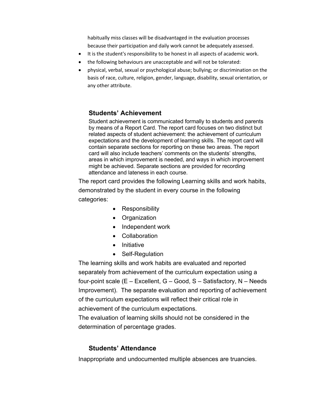habitually miss classes will be disadvantaged in the evaluation processes because their participation and daily work cannot be adequately assessed.

- It is the student's responsibility to be honest in all aspects of academic work.
- the following behaviours are unacceptable and will not be tolerated:
- physical, verbal, sexual or psychological abuse; bullying; or discrimination on the basis of race, culture, religion, gender, language, disability, sexual orientation, or any other attribute.

# **Students' Achievement**

Student achievement is communicated formally to students and parents by means of a Report Card. The report card focuses on two distinct but related aspects of student achievement: the achievement of curriculum expectations and the development of learning skills. The report card will contain separate sections for reporting on these two areas. The report card will also include teachers' comments on the students' strengths, areas in which improvement is needed, and ways in which improvement might be achieved. Separate sections are provided for recording attendance and lateness in each course.

The report card provides the following Learning skills and work habits, demonstrated by the student in every course in the following categories:

- Responsibility
- Organization
- Independent work
- Collaboration
- Initiative
- Self-Regulation

The learning skills and work habits are evaluated and reported separately from achievement of the curriculum expectation using a four-point scale (E – Excellent, G – Good, S – Satisfactory, N – Needs Improvement). The separate evaluation and reporting of achievement of the curriculum expectations will reflect their critical role in achievement of the curriculum expectations.

The evaluation of learning skills should not be considered in the determination of percentage grades.

# **Students' Attendance**

Inappropriate and undocumented multiple absences are truancies.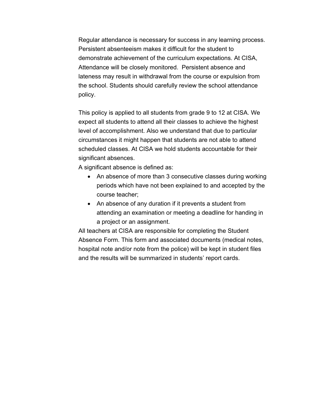Regular attendance is necessary for success in any learning process. Persistent absenteeism makes it difficult for the student to demonstrate achievement of the curriculum expectations. At CISA, Attendance will be closely monitored. Persistent absence and lateness may result in withdrawal from the course or expulsion from the school. Students should carefully review the school attendance policy.

This policy is applied to all students from grade 9 to 12 at CISA. We expect all students to attend all their classes to achieve the highest level of accomplishment. Also we understand that due to particular circumstances it might happen that students are not able to attend scheduled classes. At CISA we hold students accountable for their significant absences.

A significant absence is defined as:

- An absence of more than 3 consecutive classes during working periods which have not been explained to and accepted by the course teacher;
- An absence of any duration if it prevents a student from attending an examination or meeting a deadline for handing in a project or an assignment.

All teachers at CISA are responsible for completing the Student Absence Form. This form and associated documents (medical notes, hospital note and/or note from the police) will be kept in student files and the results will be summarized in students' report cards.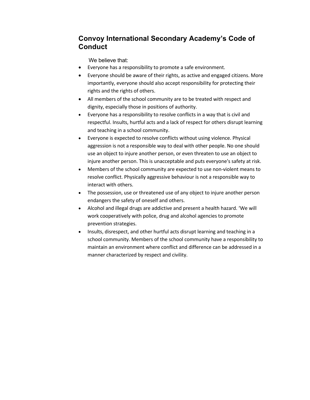# **Convoy International Secondary Academy's Code of Conduct**

We believe that:

- Everyone has a responsibility to promote a safe environment.
- Everyone should be aware of their rights, as active and engaged citizens. More importantly, everyone should also accept responsibility for protecting their rights and the rights of others.
- All members of the school community are to be treated with respect and dignity, especially those in positions of authority.
- Everyone has a responsibility to resolve conflicts in a way that is civil and respectful. Insults, hurtful acts and a lack of respect for others disrupt learning and teaching in a school community.
- Everyone is expected to resolve conflicts without using violence. Physical aggression is not a responsible way to deal with other people. No one should use an object to injure another person, or even threaten to use an object to injure another person. This is unacceptable and puts everyone's safety at risk.
- Members of the school community are expected to use non-violent means to resolve conflict. Physically aggressive behaviour is not a responsible way to interact with others.
- The possession, use or threatened use of any object to injure another person endangers the safety of oneself and others.
- Alcohol and illegal drugs are addictive and present a health hazard. 'We will work cooperatively with police, drug and alcohol agencies to promote prevention strategies.
- Insults, disrespect, and other hurtful acts disrupt learning and teaching in a school community. Members of the school community have a responsibility to maintain an environment where conflict and difference can be addressed in a manner characterized by respect and civility.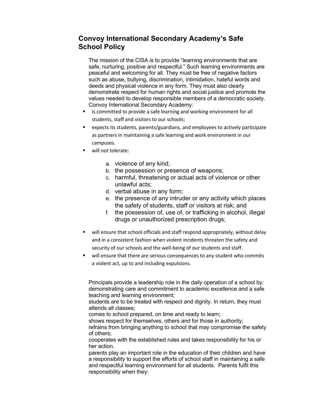# **Convoy International Secondary Academy's Safe School Policy**

The mission of the CISA is to provide "learning environments that are safe, nurturing, positive and respectful." Such learning environments are peaceful and welcoming for all. They must be free of negative factors such as abuse, bullying, discrimination, intimidation, hateful words and deeds and physical violence in any form. They must also clearly demonstrate respect for human rights and social justice and promote the values needed to develop responsible members of a democratic society. Convoy International Secondary Academy:

- is committed to provide a safe learning and working environment for all students, staff and visitors to our schools;
- expects its students, parents/guardians, and employees to actively participate as partners in maintaining a safe learning and work environment in our campuses.
- will not tolerate:
	- a. violence of any kind;
	- b. the possession or presence of weapons;
	- c. harmful, threatening or actual acts of violence or other unlawful acts;
	- d. verbal abuse in any form;
	- e. the presence of any intruder or any activity which places the safety of students, staff or visitors at risk; and
	- f. the possession of, use of, or trafficking in alcohol, illegal drugs or unauthorized prescription drugs;
- will ensure that school officials and staff respond appropriately, without delay and in a consistent fashion when violent incidents threaten the safety and security of our schools and the well-being of our students and staff.
- will ensure that there are serious consequences to any student who commits a violent act, up to and including expulsions.

Principals provide a leadership role in the daily operation of a school by: demonstrating care and commitment to academic excellence and a safe teaching and learning environment;

students are to be treated with respect and dignity. In return, they must attends all classes;

comes to school prepared, on time and ready to learn;

shows respect for themselves, others and for those in authority;

refrains from bringing anything to school that may compromise the safety of others;

cooperates with the established rules and takes responsibility for his or her action.

parents play an important role in the education of their children and have a responsibility to support the efforts of school staff in maintaining a safe and respectful learning environment for all students. Parents fulfil this responsibility when they: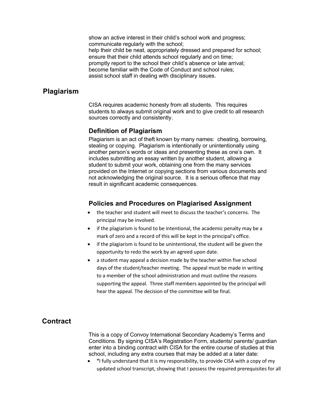show an active interest in their child's school work and progress; communicate regularly with the school; help their child be neat, appropriately dressed and prepared for school; ensure that their child attends school regularly and on time; promptly report to the school their child's absence or late arrival; become familiar with the Code of Conduct and school rules; assist school staff in dealing with disciplinary issues.

## **Plagiarism**

CISA requires academic honesty from all students. This requires students to always submit original work and to give credit to all research sources correctly and consistently.

#### **Definition of Plagiarism**

Plagiarism is an act of theft known by many names: cheating, borrowing, stealing or copying. Plagiarism is intentionally or unintentionally using another person's words or ideas and presenting these as one's own. It includes submitting an essay written by another student, allowing a student to submit your work, obtaining one from the many services provided on the Internet or copying sections from various documents and not acknowledging the original source. It is a serious offence that may result in significant academic consequences.

#### **Policies and Procedures on Plagiarised Assignment**

- the teacher and student will meet to discuss the teacher's concerns. The principal may be involved.
- if the plagiarism is found to be intentional, the academic penalty may be a mark of zero and a record of this will be kept in the principal's office.
- if the plagiarism is found to be unintentional, the student will be given the opportunity to redo the work by an agreed upon date.
- a student may appeal a decision made by the teacher within five school days of the student/teacher meeting. The appeal must be made in writing to a member of the school administration and must outline the reasons supporting the appeal. Three staff members appointed by the principal will hear the appeal. The decision of the committee will be final.

# **Contract**

This is a copy of Convoy International Secondary Academy's Terms and Conditions. By signing CISA's Registration Form, students/ parents/ guardian enter into a binding contract with CISA for the entire course of studies at this school, including any extra courses that may be added at a later date:

• **"**I fully understand that it is my responsibility, to provide CISA with a copy of my updated school transcript, showing that I possess the required prerequisites for all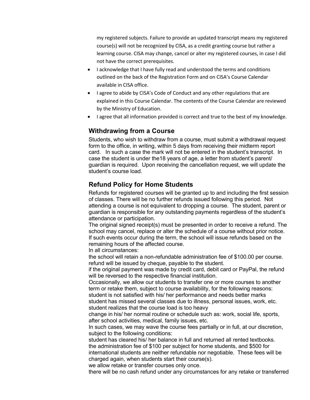my registered subjects. Failure to provide an updated transcript means my registered course(s) will not be recognized by CISA, as a credit granting course but rather a learning course. CISA may change, cancel or alter my registered courses, in case I did not have the correct prerequisites.

- I acknowledge that I have fully read and understood the terms and conditions outlined on the back of the Registration Form and on CISA's Course Calendar available in CISA office.
- I agree to abide by CISA's Code of Conduct and any other regulations that are explained in this Course Calendar. The contents of the Course Calendar are reviewed by the Ministry of Education.
- I agree that all information provided is correct and true to the best of my knowledge.

# **Withdrawing from a Course**

Students, who wish to withdraw from a course, must submit a withdrawal request form to the office, in writing, within 5 days from receiving their midterm report card. In such a case the mark will not be entered in the student's transcript. In case the student is under the18 years of age, a letter from student's parent/ guardian is required. Upon receiving the cancellation request, we will update the student's course load.

# **Refund Policy for Home Students**

Refunds for registered courses will be granted up to and including the first session of classes. There will be no further refunds issued following this period. Not attending a course is not equivalent to dropping a course. The student, parent or guardian is responsible for any outstanding payments regardless of the student's attendance or participation.

The original signed receipt(s) must be presented in order to receive a refund. The school may cancel, replace or alter the schedule of a course without prior notice. If such events occur during the term, the school will issue refunds based on the remaining hours of the affected course.

In all circumstances:

the school will retain a non-refundable administration fee of \$100.00 per course. refund will be issued by cheque, payable to the student.

if the original payment was made by credit card, debit card or PayPal, the refund will be reversed to the respective financial institution.

Occasionally, we allow our students to transfer one or more courses to another term or retake them, subject to course availability, for the following reasons:

student is not satisfied with his/ her performance and needs better marks student has missed several classes due to illness, personal issues, work, etc. student realizes that the course load is too heavy

change in his/ her normal routine or schedule such as: work, social life, sports, after school activities, medical, family issues, etc.

In such cases, we may wave the course fees partially or in full, at our discretion, subject to the following conditions:

student has cleared his/ her balance in full and returned all rented textbooks. the administration fee of \$100 per subject for home students, and \$500 for international students are neither refundable nor negotiable. These fees will be charged again, when students start their course(s).

we allow retake or transfer courses only once.

there will be no cash refund under any circumstances for any retake or transferred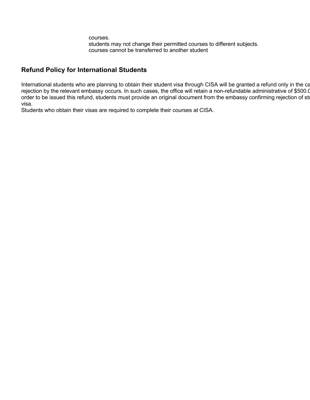courses. students may not change their permitted courses to different subjects. courses cannot be transferred to another student

# **Refund Policy for International Students**

International students who are planning to obtain their student visa through CISA will be granted a refund only in the ca rejection by the relevant embassy occurs. In such cases, the office will retain a non-refundable administrative of \$500. order to be issued this refund, students must provide an original document from the embassy confirming rejection of student visa.

Students who obtain their visas are required to complete their courses at CISA.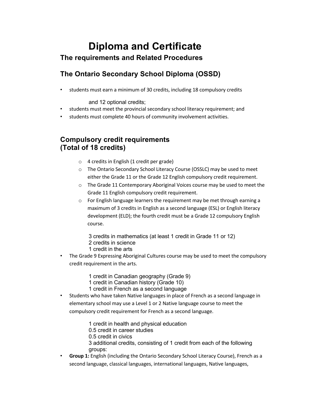# **Diploma and Certificate The requirements and Related Procedures**

# **The Ontario Secondary School Diploma (OSSD)**

• students must earn a minimum of 30 credits, including 18 compulsory credits

and 12 optional credits;

- students must meet the provincial secondary school literacy requirement; and
- students must complete 40 hours of community involvement activities.

# **Compulsory credit requirements (Total of 18 credits)**

- o 4 credits in English (1 credit per grade)
- o The Ontario Secondary School Literacy Course (OSSLC) may be used to meet either the Grade 11 or the Grade 12 English compulsory credit requirement.
- $\circ$  The Grade 11 Contemporary Aboriginal Voices course may be used to meet the Grade 11 English compulsory credit requirement.
- $\circ$  For English language learners the requirement may be met through earning a maximum of 3 credits in English as a second language (ESL) or English literacy development (ELD); the fourth credit must be a Grade 12 compulsory English course.
	- 3 credits in mathematics (at least 1 credit in Grade 11 or 12)
	- 2 credits in science
	- 1 credit in the arts
- The Grade 9 Expressing Aboriginal Cultures course may be used to meet the compulsory credit requirement in the arts.
	- 1 credit in Canadian geography (Grade 9)
	- 1 credit in Canadian history (Grade 10)
	- 1 credit in French as a second language
- Students who have taken Native languages in place of French as a second language in elementary school may use a Level 1 or 2 Native language course to meet the compulsory credit requirement for French as a second language.
	- 1 credit in health and physical education
	- 0.5 credit in career studies
	- 0.5 credit in civics
	- 3 additional credits, consisting of 1 credit from each of the following groups:
- **Group 1:** English (including the Ontario Secondary School Literacy Course), French as a second language, classical languages, international languages, Native languages,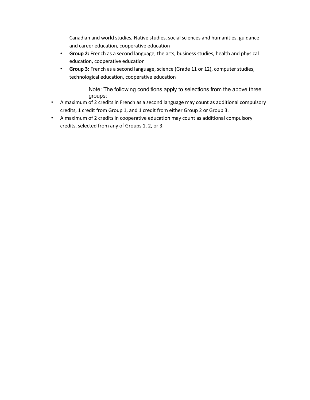Canadian and world studies, Native studies, social sciences and humanities, guidance and career education, cooperative education

- **Group 2:** French as a second language, the arts, business studies, health and physical education, cooperative education
- **Group 3:** French as a second language, science (Grade 11 or 12), computer studies, technological education, cooperative education

Note: The following conditions apply to selections from the above three groups:

- A maximum of 2 credits in French as a second language may count as additional compulsory credits, 1 credit from Group 1, and 1 credit from either Group 2 or Group 3.
- A maximum of 2 credits in cooperative education may count as additional compulsory credits, selected from any of Groups 1, 2, or 3.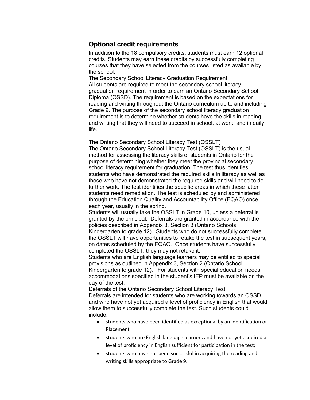## **Optional credit requirements**

In addition to the 18 compulsory credits, students must earn 12 optional credits. Students may earn these credits by successfully completing courses that they have selected from the courses listed as available by the school.

The Secondary School Literacy Graduation Requirement All students are required to meet the secondary school literacy graduation requirement in order to earn an Ontario Secondary School Diploma (OSSD). The requirement is based on the expectations for reading and writing throughout the Ontario curriculum up to and including Grade 9. The purpose of the secondary school literacy graduation requirement is to determine whether students have the skills in reading and writing that they will need to succeed in school, at work, and in daily life.

The Ontario Secondary School Literacy Test (OSSLT) The Ontario Secondary School Literacy Test (OSSLT) is the usual method for assessing the literacy skills of students in Ontario for the purpose of determining whether they meet the provincial secondary school literacy requirement for graduation. The test thus identifies students who have demonstrated the required skills in literacy as well as those who have not demonstrated the required skills and will need to do further work. The test identifies the specific areas in which these latter students need remediation. The test is scheduled by and administered through the Education Quality and Accountability Office (EQAO) once each year, usually in the spring.

Students will usually take the OSSLT in Grade 10, unless a deferral is granted by the principal. Deferrals are granted in accordance with the policies described in Appendix 3, Section 3 (Ontario Schools Kindergarten to grade 12). Students who do not successfully complete the OSSLT will have opportunities to retake the test in subsequent years, on dates scheduled by the EQAO. Once students have successfully completed the OSSLT, they may not retake it.

Students who are English language learners may be entitled to special provisions as outlined in Appendix 3, Section 2 (Ontario School Kindergarten to grade 12). For students with special education needs, accommodations specified in the student's IEP must be available on the day of the test.

Deferrals of the Ontario Secondary School Literacy Test Deferrals are intended for students who are working towards an OSSD and who have not yet acquired a level of proficiency in English that would allow them to successfully complete the test. Such students could include:

- students who have been identified as exceptional by an Identification or Placement
- students who are English language learners and have not yet acquired a level of proficiency in English sufficient for participation in the test;
- students who have not been successful in acquiring the reading and writing skills appropriate to Grade 9.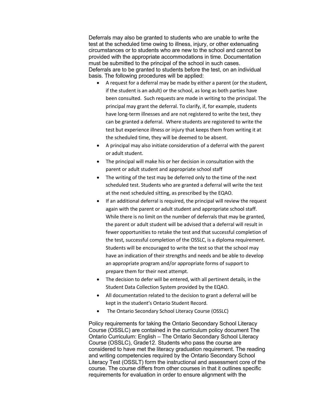Deferrals may also be granted to students who are unable to write the test at the scheduled time owing to illness, injury, or other extenuating circumstances or to students who are new to the school and cannot be provided with the appropriate accommodations in time. Documentation must be submitted to the principal of the school in such cases. Deferrals are to be granted to students before the test, on an individual basis. The following procedures will be applied:

- A request for a deferral may be made by either a parent (or the student, if the student is an adult) or the school, as long as both parties have been consulted. Such requests are made in writing to the principal. The principal may grant the deferral. To clarify, if, for example, students have long-term illnesses and are not registered to write the test, they can be granted a deferral. Where students are registered to write the test but experience illness or injury that keeps them from writing it at the scheduled time, they will be deemed to be absent.
- A principal may also initiate consideration of a deferral with the parent or adult student.
- The principal will make his or her decision in consultation with the parent or adult student and appropriate school staff
- The writing of the test may be deferred only to the time of the next scheduled test. Students who are granted a deferral will write the test at the next scheduled sitting, as prescribed by the EQAO.
- If an additional deferral is required, the principal will review the request again with the parent or adult student and appropriate school staff. While there is no limit on the number of deferrals that may be granted, the parent or adult student will be advised that a deferral will result in fewer opportunities to retake the test and that successful completion of the test, successful completion of the OSSLC, is a diploma requirement. Students will be encouraged to write the test so that the school may have an indication of their strengths and needs and be able to develop an appropriate program and/or appropriate forms of support to prepare them for their next attempt.
- The decision to defer will be entered, with all pertinent details, in the Student Data Collection System provided by the EQAO.
- All documentation related to the decision to grant a deferral will be kept in the student's Ontario Student Record.
- The Ontario Secondary School Literacy Course (OSSLC)

Policy requirements for taking the Ontario Secondary School Literacy Course (OSSLC) are contained in the curriculum policy document The Ontario Curriculum: English – The Ontario Secondary School Literacy Course (OSSLC), Grade12. Students who pass the course are considered to have met the literacy graduation requirement. The reading and writing competencies required by the Ontario Secondary School Literacy Test (OSSLT) form the instructional and assessment core of the course. The course differs from other courses in that it outlines specific requirements for evaluation in order to ensure alignment with the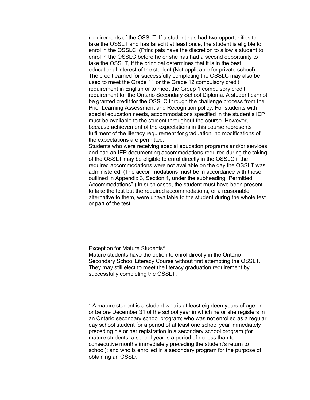requirements of the OSSLT. If a student has had two opportunities to take the OSSLT and has failed it at least once, the student is eligible to enrol in the OSSLC. (Principals have the discretion to allow a student to enrol in the OSSLC before he or she has had a second opportunity to take the OSSLT, if the principal determines that it is in the best educational interest of the student (Not applicable for private school). The credit earned for successfully completing the OSSLC may also be used to meet the Grade 11 or the Grade 12 compulsory credit requirement in English or to meet the Group 1 compulsory credit requirement for the Ontario Secondary School Diploma. A student cannot be granted credit for the OSSLC through the challenge process from the Prior Learning Assessment and Recognition policy. For students with special education needs, accommodations specified in the student's IEP must be available to the student throughout the course. However, because achievement of the expectations in this course represents fulfilment of the literacy requirement for graduation, no modifications of the expectations are permitted.

Students who were receiving special education programs and/or services and had an IEP documenting accommodations required during the taking of the OSSLT may be eligible to enrol directly in the OSSLC if the required accommodations were not available on the day the OSSLT was administered. (The accommodations must be in accordance with those outlined in Appendix 3, Section 1, under the subheading "Permitted Accommodations".) In such cases, the student must have been present to take the test but the required accommodations, or a reasonable alternative to them, were unavailable to the student during the whole test or part of the test.

Exception for Mature Students\*

Mature students have the option to enrol directly in the Ontario Secondary School Literacy Course without first attempting the OSSLT. They may still elect to meet the literacy graduation requirement by successfully completing the OSSLT.

\* A mature student is a student who is at least eighteen years of age on or before December 31 of the school year in which he or she registers in an Ontario secondary school program; who was not enrolled as a regular day school student for a period of at least one school year immediately preceding his or her registration in a secondary school program (for mature students, a school year is a period of no less than ten consecutive months immediately preceding the student's return to school); and who is enrolled in a secondary program for the purpose of obtaining an OSSD.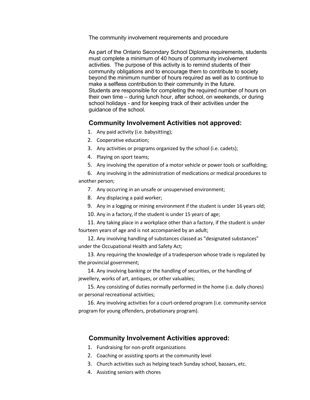The community involvement requirements and procedure

As part of the Ontario Secondary School Diploma requirements, students must complete a minimum of 40 hours of community involvement activities. The purpose of this activity is to remind students of their community obligations and to encourage them to contribute to society beyond the minimum number of hours required as well as to continue to make a selfless contribution to their community in the future. Students are responsible for completing the required number of hours on their own time – during lunch hour, after school, on weekends, or during school holidays - and for keeping track of their activities under the guidance of the school.

#### **Community Involvement Activities not approved:**

- 1. Any paid activity (i.e. babysitting);
- 2. Cooperative education;
- 3. Any activities or programs organized by the school (i.e. cadets);
- 4. Playing on sport teams;
- 5. Any involving the operation of a motor vehicle or power tools or scaffolding;

6. Any involving in the administration of medications or medical procedures to another person;

- 7. Any occurring in an unsafe or unsupervised environment;
- 8. Any displacing a paid worker;
- 9. Any in a logging or mining environment if the student is under 16 years old;
- 10. Any in a factory, if the student is under 15 years of age;
- 11. Any taking place in a workplace other than a factory, if the student is under fourteen years of age and is not accompanied by an adult;

12. Any involving handling of substances classed as "designated substances" under the Occupational Health and Safety Act;

13. Any requiring the knowledge of a tradesperson whose trade is regulated by the provincial government;

14. Any involving banking or the handling of securities, or the handling of jewellery, works of art, antiques, or other valuables;

15. Any consisting of duties normally performed in the home (i.e. daily chores) or personal recreational activities;

16. Any involving activities for a court-ordered program (i.e. community-service program for young offenders, probationary program).

#### **Community Involvement Activities approved:**

- 1. Fundraising for non-profit organizations
- 2. Coaching or assisting sports at the community level
- 3. Church activities such as helping teach Sunday school, bazaars, etc.
- 4. Assisting seniors with chores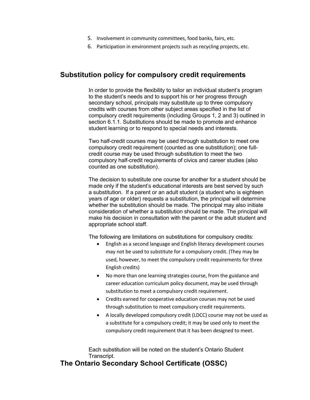- 5. Involvement in community committees, food banks, fairs, etc.
- 6. Participation in environment projects such as recycling projects, etc.

# **Substitution policy for compulsory credit requirements**

In order to provide the flexibility to tailor an individual student's program to the student's needs and to support his or her progress through secondary school, principals may substitute up to three compulsory credits with courses from other subject areas specified in the list of compulsory credit requirements (including Groups 1, 2 and 3) outlined in section 6.1.1. Substitutions should be made to promote and enhance student learning or to respond to special needs and interests.

Two half-credit courses may be used through substitution to meet one compulsory credit requirement (counted as one substitution); one fullcredit course may be used through substitution to meet the two compulsory half-credit requirements of civics and career studies (also counted as one substitution).

The decision to substitute one course for another for a student should be made only if the student's educational interests are best served by such a substitution. If a parent or an adult student (a student who is eighteen years of age or older) requests a substitution, the principal will determine whether the substitution should be made. The principal may also initiate consideration of whether a substitution should be made. The principal will make his decision in consultation with the parent or the adult student and appropriate school staff.

The following are limitations on substitutions for compulsory credits:

- English as a second language and English literacy development courses may not be used to substitute for a compulsory credit. (They may be used, however, to meet the compulsory credit requirements for three English credits)
- No more than one learning strategies course, from the guidance and career education curriculum policy document, may be used through substitution to meet a compulsory credit requirement.
- Credits earned for cooperative education courses may not be used through substitution to meet compulsory credit requirements.
- A locally developed compulsory credit (LDCC) course may not be used as a substitute for a compulsory credit; it may be used only to meet the compulsory credit requirement that it has been designed to meet.

Each substitution will be noted on the student's Ontario Student Transcript.

## **The Ontario Secondary School Certificate (OSSC)**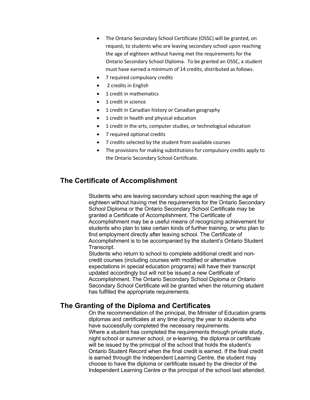- The Ontario Secondary School Certificate (OSSC) will be granted, on request, to students who are leaving secondary school upon reaching the age of eighteen without having met the requirements for the Ontario Secondary School Diploma. To be granted an OSSC, a student must have earned a minimum of 14 credits, distributed as follows.
- 7 required compulsory credits
- 2 credits in English
- 1 credit in mathematics
- 1 credit in science
- 1 credit in Canadian history or Canadian geography
- 1 credit in health and physical education
- 1 credit in the arts, computer studies, or technological education
- 7 required optional credits
- 7 credits selected by the student from available courses
- The provisions for making substitutions for compulsory credits apply to the Ontario Secondary School Certificate.

# **The Certificate of Accomplishment**

Students who are leaving secondary school upon reaching the age of eighteen without having met the requirements for the Ontario Secondary School Diploma or the Ontario Secondary School Certificate may be granted a Certificate of Accomplishment. The Certificate of Accomplishment may be a useful means of recognizing achievement for students who plan to take certain kinds of further training, or who plan to find employment directly after leaving school. The Certificate of Accomplishment is to be accompanied by the student's Ontario Student Transcript.

Students who return to school to complete additional credit and noncredit courses (including courses with modified or alternative expectations in special education programs) will have their transcript updated accordingly but will not be issued a new Certificate of Accomplishment. The Ontario Secondary School Diploma or Ontario Secondary School Certificate will be granted when the returning student has fulfilled the appropriate requirements.

# **The Granting of the Diploma and Certificates**

On the recommendation of the principal, the Minister of Education grants diplomas and certificates at any time during the year to students who have successfully completed the necessary requirements. Where a student has completed the requirements through private study, night school or summer school, or e-learning, the diploma or certificate will be issued by the principal of the school that holds the student's Ontario Student Record when the final credit is earned. If the final credit is earned through the Independent Learning Centre, the student may choose to have the diploma or certificate issued by the director of the Independent Learning Centre or the principal of the school last attended.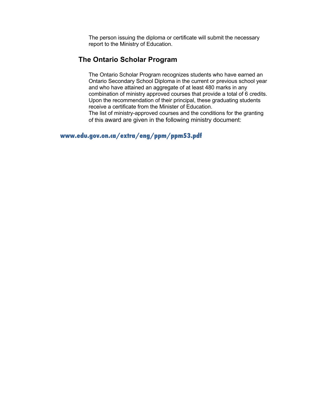The person issuing the diploma or certificate will submit the necessary report to the Ministry of Education.

# **The Ontario Scholar Program**

The Ontario Scholar Program recognizes students who have earned an Ontario Secondary School Diploma in the current or previous school year and who have attained an aggregate of at least 480 marks in any combination of ministry approved courses that provide a total of 6 credits. Upon the recommendation of their principal, these graduating students receive a certificate from the Minister of Education. The list of ministry-approved courses and the conditions for the granting

of this award are given in the following ministry document:

**www.edu.gov.on.ca/extra/eng/ppm/ppm53.pdf**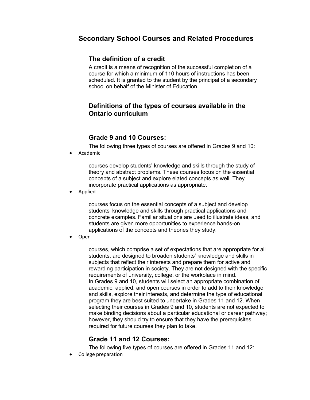# **Secondary School Courses and Related Procedures**

# **The definition of a credit**

A credit is a means of recognition of the successful completion of a course for which a minimum of 110 hours of instructions has been scheduled. It is granted to the student by the principal of a secondary school on behalf of the Minister of Education.

# **Definitions of the types of courses available in the Ontario curriculum**

# **Grade 9 and 10 Courses:**

The following three types of courses are offered in Grades 9 and 10:

• Academic

courses develop students' knowledge and skills through the study of theory and abstract problems. These courses focus on the essential concepts of a subject and explore elated concepts as well. They incorporate practical applications as appropriate.

• Applied

courses focus on the essential concepts of a subject and develop students' knowledge and skills through practical applications and concrete examples. Familiar situations are used to illustrate ideas, and students are given more opportunities to experience hands-on applications of the concepts and theories they study.

• Open

courses, which comprise a set of expectations that are appropriate for all students, are designed to broaden students' knowledge and skills in subjects that reflect their interests and prepare them for active and rewarding participation in society. They are not designed with the specific requirements of university, college, or the workplace in mind. In Grades 9 and 10, students will select an appropriate combination of academic, applied, and open courses in order to add to their knowledge and skills, explore their interests, and determine the type of educational program they are best suited to undertake in Grades 11 and 12. When selecting their courses in Grades 9 and 10, students are not expected to make binding decisions about a particular educational or career pathway; however, they should try to ensure that they have the prerequisites required for future courses they plan to take.

# **Grade 11 and 12 Courses:**

The following five types of courses are offered in Grades 11 and 12:

• College preparation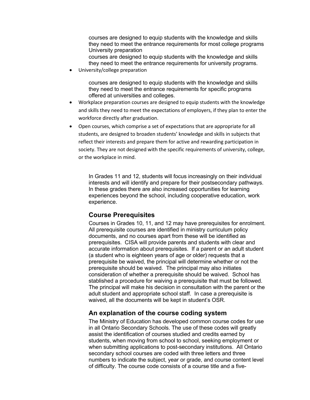courses are designed to equip students with the knowledge and skills they need to meet the entrance requirements for most college programs University preparation

courses are designed to equip students with the knowledge and skills they need to meet the entrance requirements for university programs.

• University/college preparation

courses are designed to equip students with the knowledge and skills they need to meet the entrance requirements for specific programs offered at universities and colleges.

- Workplace preparation courses are designed to equip students with the knowledge and skills they need to meet the expectations of employers, if they plan to enter the workforce directly after graduation.
- Open courses, which comprise a set of expectations that are appropriate for all students, are designed to broaden students' knowledge and skills in subjects that reflect their interests and prepare them for active and rewarding participation in society. They are not designed with the specific requirements of university, college, or the workplace in mind.

In Grades 11 and 12, students will focus increasingly on their individual interests and will identify and prepare for their postsecondary pathways. In these grades there are also increased opportunities for learning experiences beyond the school, including cooperative education, work experience.

#### **Course Prerequisites**

Courses in Grades 10, 11, and 12 may have prerequisites for enrolment. All prerequisite courses are identified in ministry curriculum policy documents, and no courses apart from these will be identified as prerequisites. CISA will provide parents and students with clear and accurate information about prerequisites. If a parent or an adult student (a student who is eighteen years of age or older) requests that a prerequisite be waived, the principal will determine whether or not the prerequisite should be waived. The principal may also initiates consideration of whether a prerequisite should be waived. School has stablished a procedure for waiving a prerequisite that must be followed. The principal will make his decision in consultation with the parent or the adult student and appropriate school staff. In case a prerequisite is waived, all the documents will be kept in student's OSR.

#### **An explanation of the course coding system**

The Ministry of Education has developed common course codes for use in all Ontario Secondary Schools. The use of these codes will greatly assist the identification of courses studied and credits earned by students, when moving from school to school, seeking employment or when submitting applications to post-secondary institutions. All Ontario secondary school courses are coded with three letters and three numbers to indicate the subject, year or grade, and course content level of difficulty. The course code consists of a course title and a five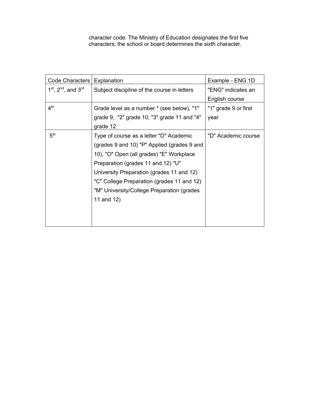character code. The Ministry of Education designates the first five characters; the school or board determines the sixth character.

| Code Characters           | Explanation                                 | Example - ENG 1D     |
|---------------------------|---------------------------------------------|----------------------|
| $1st$ , $2nd$ , and $3rd$ | Subject discipline of the course in letters | "ENG" indicates an   |
|                           |                                             | English course       |
| 4 <sup>th</sup>           | Grade level as a number * (see below), "1"  | "1" grade 9 or first |
|                           | grade 9, "2" grade 10, "3" grade 11 and "4" | year                 |
|                           | grade 12                                    |                      |
| 5 <sup>th</sup>           | Type of course as a letter "D" Academic     | "D" Academic course  |
|                           | (grades 9 and 10) "P" Applied (grades 9 and |                      |
|                           | 10), "O" Open (all grades) "E" Workplace    |                      |
|                           | Preparation (grades 11 and 12) "U"          |                      |
|                           | University Preparation (grades 11 and 12)   |                      |
|                           | "C" College Preparation (grades 11 and 12)  |                      |
|                           | "M" University/College Preparation (grades  |                      |
|                           | 11 and 12)                                  |                      |
|                           |                                             |                      |
|                           |                                             |                      |
|                           |                                             |                      |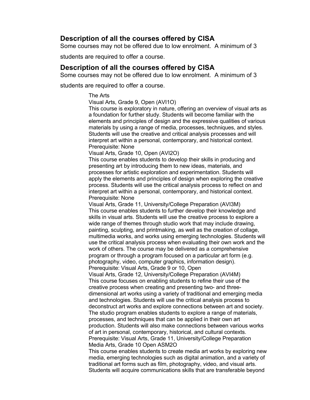# **Description of all the courses offered by CISA**

Some courses may not be offered due to low enrolment. A minimum of 3

students are required to offer a course.

# **Description of all the courses offered by CISA**

Some courses may not be offered due to low enrolment. A minimum of 3

students are required to offer a course.

#### The Arts

Visual Arts, Grade 9, Open (AVI1O)

This course is exploratory in nature, offering an overview of visual arts as a foundation for further study. Students will become familiar with the elements and principles of design and the expressive qualities of various materials by using a range of media, processes, techniques, and styles. Students will use the creative and critical analysis processes and will interpret art within a personal, contemporary, and historical context. Prerequisite: None

Visual Arts, Grade 10, Open (AVI2O)

This course enables students to develop their skills in producing and presenting art by introducing them to new ideas, materials, and processes for artistic exploration and experimentation. Students will apply the elements and principles of design when exploring the creative process. Students will use the critical analysis process to reflect on and interpret art within a personal, contemporary, and historical context. Prerequisite: None

Visual Arts, Grade 11, University/College Preparation (AVI3M) This course enables students to further develop their knowledge and skills in visual arts. Students will use the creative process to explore a wide range of themes through studio work that may include drawing, painting, sculpting, and printmaking, as well as the creation of collage, multimedia works, and works using emerging technologies. Students will use the critical analysis process when evaluating their own work and the work of others. The course may be delivered as a comprehensive program or through a program focused on a particular art form (e.g. photography, video, computer graphics, information design). Prerequisite: Visual Arts, Grade 9 or 10, Open

Visual Arts, Grade 12, University/College Preparation (AVI4M) This course focuses on enabling students to refine their use of the creative process when creating and presenting two- and threedimensional art works using a variety of traditional and emerging media and technologies. Students will use the critical analysis process to deconstruct art works and explore connections between art and society. The studio program enables students to explore a range of materials, processes, and techniques that can be applied in their own art production. Students will also make connections between various works of art in personal, contemporary, historical, and cultural contexts. Prerequisite: Visual Arts, Grade 11, University/College Preparation Media Arts, Grade 10 Open ASM2O

This course enables students to create media art works by exploring new media, emerging technologies such as digital animation, and a variety of traditional art forms such as film, photography, video, and visual arts. Students will acquire communications skills that are transferable beyond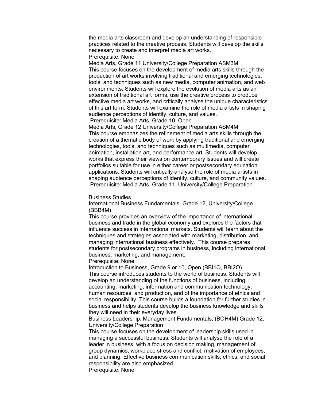the media arts classroom and develop an understanding of responsible practices related to the creative process. Students will develop the skills necessary to create and interpret media art works.

Prerequisite: None

Media Arts, Grade 11 University/College Preparation ASM3M This course focuses on the development of media arts skills through the production of art works involving traditional and emerging technologies, tools, and techniques such as new media, computer animation, and web environments. Students will explore the evolution of media arts as an extension of traditional art forms, use the creative process to produce effective media art works, and critically analyse the unique characteristics of this art form. Students will examine the role of media artists in shaping audience perceptions of identity, culture, and values.

Prerequisite: Media Arts, Grade 10, Open

Media Arts, Grade 12 University/College Preparation ASM4M This course emphasizes the refinement of media arts skills through the creation of a thematic body of work by applying traditional and emerging technologies, tools, and techniques such as multimedia, computer animation, installation art, and performance art. Students will develop works that express their views on contemporary issues and will create portfolios suitable for use in either career or postsecondary education applications. Students will critically analyse the role of media artists in shaping audience perceptions of identity, culture, and community values. Prerequisite: Media Arts, Grade 11, University/College Preparation

#### Business Studies

International Business Fundamentals, Grade 12, University/College (BBB4M)

This course provides an overview of the importance of international business and trade in the global economy and explores the factors that influence success in international markets. Students will learn about the techniques and strategies associated with marketing, distribution, and managing international business effectively. This course prepares students for postsecondary programs in business, including international business, marketing, and management.

Prerequisite: None

Introduction to Business, Grade 9 or 10, Open (BBI1O, BBI2O) This course introduces students to the world of business. Students will develop an understanding of the functions of business, including accounting, marketing, information and communication technology, human resources, and production, and of the importance of ethics and social responsibility. This course builds a foundation for further studies in business and helps students develop the business knowledge and skills they will need in their everyday lives.

Business Leadership: Management Fundamentals, (BOH4M) Grade 12, University/College Preparation

This course focuses on the development of leadership skills used in managing a successful business. Students will analyse the role of a leader in business, with a focus on decision making, management of group dynamics, workplace stress and conflict, motivation of employees, and planning. Effective business communication skills, ethics, and social responsibility are also emphasized.

Prerequisite: None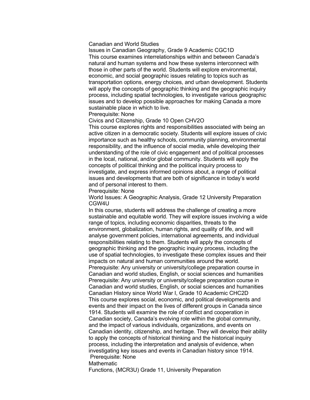#### Canadian and World Studies

Issues in Canadian Geography, Grade 9 Academic CGC1D This course examines interrelationships within and between Canada's natural and human systems and how these systems interconnect with those in other parts of the world. Students will explore environmental, economic, and social geographic issues relating to topics such as transportation options, energy choices, and urban development. Students will apply the concepts of geographic thinking and the geographic inquiry process, including spatial technologies, to investigate various geographic issues and to develop possible approaches for making Canada a more sustainable place in which to live.

#### Prerequisite: None

Civics and Citizenship, Grade 10 Open CHV2O

This course explores rights and responsibilities associated with being an active citizen in a democratic society. Students will explore issues of civic importance such as healthy schools, community planning, environmental responsibility, and the influence of social media, while developing their understanding of the role of civic engagement and of political processes in the local, national, and/or global community. Students will apply the concepts of political thinking and the political inquiry process to investigate, and express informed opinions about, a range of political issues and developments that are both of significance in today's world and of personal interest to them.

Prerequisite: None

World Issues: A Geographic Analysis, Grade 12 University Preparation CGW4U

In this course, students will address the challenge of creating a more sustainable and equitable world. They will explore issues involving a wide range of topics, including economic disparities, threats to the environment, globalization, human rights, and quality of life, and will analyse government policies, international agreements, and individual responsibilities relating to them. Students will apply the concepts of geographic thinking and the geographic inquiry process, including the use of spatial technologies, to investigate these complex issues and their impacts on natural and human communities around the world. Prerequisite: Any university or university/college preparation course in Canadian and world studies, English, or social sciences and humanities Prerequisite: Any university or university/college preparation course in Canadian and world studies, English, or social sciences and humanities Canadian History since World War I, Grade 10 Academic CHC2D This course explores social, economic, and political developments and events and their impact on the lives of different groups in Canada since 1914. Students will examine the role of conflict and cooperation in Canadian society, Canada's evolving role within the global community, and the impact of various individuals, organizations, and events on Canadian identity, citizenship, and heritage. They will develop their ability to apply the concepts of historical thinking and the historical inquiry process, including the interpretation and analysis of evidence, when investigating key issues and events in Canadian history since 1914. Prerequisite: None

**Mathematic** 

Functions, (MCR3U) Grade 11, University Preparation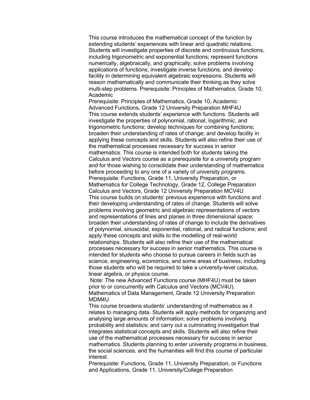This course introduces the mathematical concept of the function by extending students' experiences with linear and quadratic relations. Students will investigate properties of discrete and continuous functions, including trigonometric and exponential functions; represent functions numerically, algebraically, and graphically; solve problems involving applications of functions; investigate inverse functions; and develop facility in determining equivalent algebraic expressions. Students will reason mathematically and communicate their thinking as they solve multi-step problems. Prerequisite: Principles of Mathematics, Grade 10, Academic

Prerequisite: Principles of Mathematics, Grade 10, Academic Advanced Functions, Grade 12 University Preparation MHF4U This course extends students' experience with functions. Students will investigate the properties of polynomial, rational, logarithmic, and trigonometric functions; develop techniques for combining functions; broaden their understanding of rates of change; and develop facility in applying these concepts and skills. Students will also refine their use of the mathematical processes necessary for success in senior mathematics. This course is intended both for students taking the Calculus and Vectors course as a prerequisite for a university program and for those wishing to consolidate their understanding of mathematics before proceeding to any one of a variety of university programs. Prerequisite: Functions, Grade 11, University Preparation, or Mathematics for College Technology, Grade 12, College Preparation Calculus and Vectors, Grade 12 University Preparation MCV4U This course builds on students' previous experience with functions and their developing understanding of rates of change. Students will solve problems involving geometric and algebraic representations of vectors and representations of lines and planes in three dimensional space; broaden their understanding of rates of change to include the derivatives of polynomial, sinusoidal, exponential, rational, and radical functions; and apply these concepts and skills to the modelling of real-world relationships. Students will also refine their use of the mathematical processes necessary for success in senior mathematics. This course is intended for students who choose to pursue careers in fields such as science, engineering, economics, and some areas of business, including those students who will be required to take a university-level calculus, linear algebra, or physics course.

Note: The new Advanced Functions course (MHF4U) must be taken prior to or concurrently with Calculus and Vectors (MCV4U). Mathematics of Data Management, Grade 12 University Preparation MDM4U

This course broadens students' understanding of mathematics as it relates to managing data. Students will apply methods for organizing and analysing large amounts of information; solve problems involving probability and statistics; and carry out a culminating investigation that integrates statistical concepts and skills. Students will also refine their use of the mathematical processes necessary for success in senior mathematics. Students planning to enter university programs in business, the social sciences, and the humanities will find this course of particular interest.

Prerequisite: Functions, Grade 11, University Preparation, or Functions and Applications, Grade 11, University/College Preparation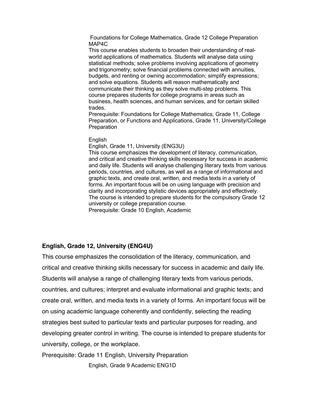Foundations for College Mathematics, Grade 12 College Preparation MAP4C

This course enables students to broaden their understanding of realworld applications of mathematics. Students will analyse data using statistical methods; solve problems involving applications of geometry and trigonometry; solve financial problems connected with annuities, budgets, and renting or owning accommodation; simplify expressions; and solve equations. Students will reason mathematically and communicate their thinking as they solve multi-step problems. This course prepares students for college programs in areas such as business, health sciences, and human services, and for certain skilled trades.

Prerequisite: Foundations for College Mathematics, Grade 11, College Preparation, or Functions and Applications, Grade 11, University/College **Preparation** 

#### **English**

English, Grade 11, University (ENG3U)

This course emphasizes the development of literacy, communication, and critical and creative thinking skills necessary for success in academic and daily life. Students will analyse challenging literary texts from various periods, countries, and cultures, as well as a range of informational and graphic texts, and create oral, written, and media texts in a variety of forms. An important focus will be on using language with precision and clarity and incorporating stylistic devices appropriately and effectively. The course is intended to prepare students for the compulsory Grade 12 university or college preparation course.

Prerequisite: Grade 10 English, Academic

## **English, Grade 12, University (ENG4U)**

This course emphasizes the consolidation of the literacy, communication, and critical and creative thinking skills necessary for success in academic and daily life. Students will analyse a range of challenging literary texts from various periods, countries, and cultures; interpret and evaluate informational and graphic texts; and create oral, written, and media texts in a variety of forms. An important focus will be on using academic language coherently and confidently, selecting the reading strategies best suited to particular texts and particular purposes for reading, and developing greater control in writing. The course is intended to prepare students for university, college, or the workplace.

Prerequisite: Grade 11 English, University Preparation

English, Grade 9 Academic ENG1D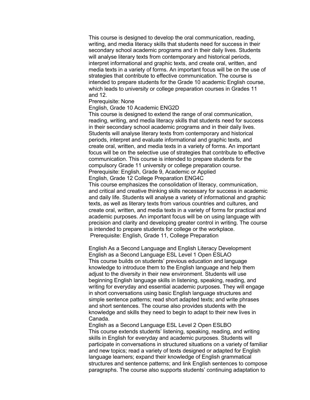This course is designed to develop the oral communication, reading, writing, and media literacy skills that students need for success in their secondary school academic programs and in their daily lives. Students will analyse literary texts from contemporary and historical periods, interpret informational and graphic texts, and create oral, written, and media texts in a variety of forms. An important focus will be on the use of strategies that contribute to effective communication. The course is intended to prepare students for the Grade 10 academic English course, which leads to university or college preparation courses in Grades 11 and 12.

#### Prerequisite: None

#### English, Grade 10 Academic ENG2D

This course is designed to extend the range of oral communication, reading, writing, and media literacy skills that students need for success in their secondary school academic programs and in their daily lives. Students will analyse literary texts from contemporary and historical periods, interpret and evaluate informational and graphic texts, and create oral, written, and media texts in a variety of forms. An important focus will be on the selective use of strategies that contribute to effective communication. This course is intended to prepare students for the compulsory Grade 11 university or college preparation course. Prerequisite: English, Grade 9, Academic or Applied English, Grade 12 College Preparation ENG4C

This course emphasizes the consolidation of literacy, communication, and critical and creative thinking skills necessary for success in academic and daily life. Students will analyse a variety of informational and graphic texts, as well as literary texts from various countries and cultures, and create oral, written, and media texts in a variety of forms for practical and academic purposes. An important focus will be on using language with precision and clarity and developing greater control in writing. The course is intended to prepare students for college or the workplace. Prerequisite: English, Grade 11, College Preparation

English As a Second Language and English Literacy Development English as a Second Language ESL Level 1 Open ESLAO This course builds on students' previous education and language knowledge to introduce them to the English language and help them adjust to the diversity in their new environment. Students will use beginning English language skills in listening, speaking, reading, and writing for everyday and essential academic purposes. They will engage in short conversations using basic English language structures and simple sentence patterns; read short adapted texts; and write phrases and short sentences. The course also provides students with the knowledge and skills they need to begin to adapt to their new lives in Canada.

English as a Second Language ESL Level 2 Open ESLBO This course extends students' listening, speaking, reading, and writing skills in English for everyday and academic purposes. Students will participate in conversations in structured situations on a variety of familiar and new topics; read a variety of texts designed or adapted for English language learners; expand their knowledge of English grammatical structures and sentence patterns; and link English sentences to compose paragraphs. The course also supports students' continuing adaptation to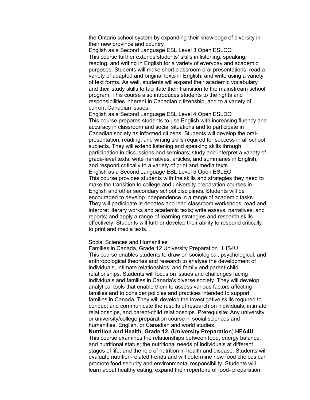the Ontario school system by expanding their knowledge of diversity in their new province and country

English as a Second Language ESL Level 3 Open ESLCO This course further extends students' skills in listening, speaking, reading, and writing in English for a variety of everyday and academic purposes. Students will make short classroom oral presentations; read a variety of adapted and original texts in English; and write using a variety of text forms. As well, students will expand their academic vocabulary and their study skills to facilitate their transition to the mainstream school program. This course also introduces students to the rights and responsibilities inherent in Canadian citizenship, and to a variety of current Canadian issues.

English as a Second Language ESL Level 4 Open ESLDO This course prepares students to use English with increasing fluency and accuracy in classroom and social situations and to participate in Canadian society as informed citizens. Students will develop the oralpresentation, reading, and writing skills required for success in all school subjects. They will extend listening and speaking skills through participation in discussions and seminars; study and interpret a variety of grade-level texts; write narratives, articles, and summaries in English; and respond critically to a variety of print and media texts. English as a Second Language ESL Level 5 Open ESLEO This course provides students with the skills and strategies they need to make the transition to college and university preparation courses in English and other secondary school disciplines. Students will be encouraged to develop independence in a range of academic tasks. They will participate in debates and lead classroom workshops; read and interpret literary works and academic texts; write essays, narratives, and reports; and apply a range of learning strategies and research skills effectively. Students will further develop their ability to respond critically to print and media texts.

#### Social Sciences and Humanities

Families in Canada, Grade 12 University Preparation HHS4U This course enables students to draw on sociological, psychological, and anthropological theories and research to analyse the development of individuals, intimate relationships, and family and parent-child relationships. Students will focus on issues and challenges facing individuals and families in Canada's diverse society. They will develop analytical tools that enable them to assess various factors affecting families and to consider policies and practices intended to support families in Canada. They will develop the investigative skills required to conduct and communicate the results of research on individuals, intimate relationships, and parent-child relationships. Prerequisite: Any university or university/college preparation course in social sciences and humanities, English, or Canadian and world studies

**Nutrition and Health, Grade 12, (University Preparation**) **HFA4U**  This course examines the relationships between food, energy balance, and nutritional status; the nutritional needs of individuals at different stages of life; and the role of nutrition in health and disease. Students will evaluate nutrition-related trends and will determine how food choices can promote food security and environmental responsibility. Students will learn about healthy eating, expand their repertoire of food- preparation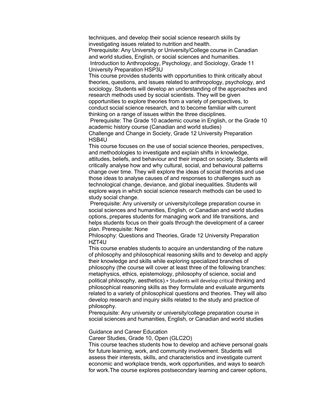techniques, and develop their social science research skills by investigating issues related to nutrition and health.

Prerequisite: Any University or University/College course in Canadian and world studies, English, or social sciences and humanities. Introduction to Anthropology, Psychology, and Sociology, Grade 11 University Preparation HSP3U

This course provides students with opportunities to think critically about theories, questions, and issues related to anthropology, psychology, and sociology. Students will develop an understanding of the approaches and research methods used by social scientists. They will be given opportunities to explore theories from a variety of perspectives, to conduct social science research, and to become familiar with current thinking on a range of issues within the three disciplines.

Prerequisite: The Grade 10 academic course in English, or the Grade 10 academic history course (Canadian and world studies)

Challenge and Change in Society, Grade 12 University Preparation HSB4U

This course focuses on the use of social science theories, perspectives, and methodologies to investigate and explain shifts in knowledge, attitudes, beliefs, and behaviour and their impact on society. Students will critically analyse how and why cultural, social, and behavioural patterns change over time. They will explore the ideas of social theorists and use those ideas to analyse causes of and responses to challenges such as technological change, deviance, and global inequalities. Students will explore ways in which social science research methods can be used to study social change.

Prerequisite: Any university or university/college preparation course in social sciences and humanities, English, or Canadian and world studies options, prepares students for managing work and life transitions, and helps students focus on their goals through the development of a career plan. Prerequisite: None

Philosophy: Questions and Theories, Grade 12 University Preparation HZT4U

This course enables students to acquire an understanding of the nature of philosophy and philosophical reasoning skills and to develop and apply their knowledge and skills while exploring specialized branches of philosophy (the course will cover at least three of the following branches: metaphysics, ethics, epistemology, philosophy of science, social and political philosophy, aesthetics).∗ Students will develop critical thinking and philosophical reasoning skills as they formulate and evaluate arguments related to a variety of philosophical questions and theories. They will also develop research and inquiry skills related to the study and practice of philosophy.

Prerequisite: Any university or university/college preparation course in social sciences and humanities, English, or Canadian and world studies

Guidance and Career Education

Career Studies, Grade 10, Open (GLC2O)

This course teaches students how to develop and achieve personal goals for future learning, work, and community involvement. Students will assess their interests, skills, and characteristics and investigate current economic and workplace trends, work opportunities, and ways to search for work.The course explores postsecondary learning and career options,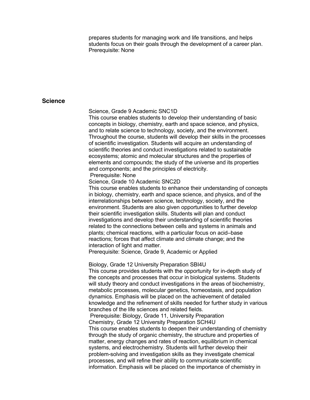prepares students for managing work and life transitions, and helps students focus on their goals through the development of a career plan. Prerequisite: None

#### **Science**

Science, Grade 9 Academic SNC1D

This course enables students to develop their understanding of basic concepts in biology, chemistry, earth and space science, and physics, and to relate science to technology, society, and the environment. Throughout the course, students will develop their skills in the processes of scientific investigation. Students will acquire an understanding of scientific theories and conduct investigations related to sustainable ecosystems; atomic and molecular structures and the properties of elements and compounds; the study of the universe and its properties and components; and the principles of electricity. Prerequisite: None

Science, Grade 10 Academic SNC2D

This course enables students to enhance their understanding of concepts in biology, chemistry, earth and space science, and physics, and of the interrelationships between science, technology, society, and the environment. Students are also given opportunities to further develop their scientific investigation skills. Students will plan and conduct investigations and develop their understanding of scientific theories related to the connections between cells and systems in animals and plants; chemical reactions, with a particular focus on acid–base reactions; forces that affect climate and climate change; and the interaction of light and matter.

Prerequisite: Science, Grade 9, Academic or Applied

Biology, Grade 12 University Preparation SBI4U

This course provides students with the opportunity for in-depth study of the concepts and processes that occur in biological systems. Students will study theory and conduct investigations in the areas of biochemistry, metabolic processes, molecular genetics, homeostasis, and population dynamics. Emphasis will be placed on the achievement of detailed knowledge and the refinement of skills needed for further study in various branches of the life sciences and related fields.

Prerequisite: Biology, Grade 11, University Preparation Chemistry, Grade 12 University Preparation SCH4U

This course enables students to deepen their understanding of chemistry through the study of organic chemistry, the structure and properties of matter, energy changes and rates of reaction, equilibrium in chemical systems, and electrochemistry. Students will further develop their problem-solving and investigation skills as they investigate chemical processes, and will refine their ability to communicate scientific information. Emphasis will be placed on the importance of chemistry in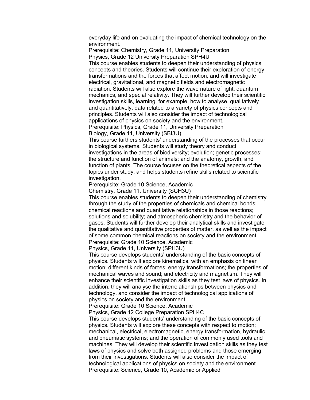everyday life and on evaluating the impact of chemical technology on the environment.

Prerequisite: Chemistry, Grade 11, University Preparation Physics, Grade 12 University Preparation SPH4U

This course enables students to deepen their understanding of physics concepts and theories. Students will continue their exploration of energy transformations and the forces that affect motion, and will investigate electrical, gravitational, and magnetic fields and electromagnetic radiation. Students will also explore the wave nature of light, quantum mechanics, and special relativity. They will further develop their scientific investigation skills, learning, for example, how to analyse, qualitatively and quantitatively, data related to a variety of physics concepts and principles. Students will also consider the impact of technological applications of physics on society and the environment. Prerequisite: Physics, Grade 11, University Preparation

Biology, Grade 11, University (SBI3U)

This course furthers students' understanding of the processes that occur in biological systems. Students will study theory and conduct investigations in the areas of biodiversity; evolution; genetic processes; the structure and function of animals; and the anatomy, growth, and function of plants. The course focuses on the theoretical aspects of the topics under study, and helps students refine skills related to scientific investigation.

Prerequisite: Grade 10 Science, Academic

Chemistry, Grade 11, University (SCH3U)

This course enables students to deepen their understanding of chemistry through the study of the properties of chemicals and chemical bonds; chemical reactions and quantitative relationships in those reactions; solutions and solubility; and atmospheric chemistry and the behavior of gases. Students will further develop their analytical skills and investigate the qualitative and quantitative properties of matter, as well as the impact of some common chemical reactions on society and the environment. Prerequisite: Grade 10 Science, Academic

Physics, Grade 11, University (SPH3U)

This course develops students' understanding of the basic concepts of physics. Students will explore kinematics, with an emphasis on linear motion; different kinds of forces; energy transformations; the properties of mechanical waves and sound; and electricity and magnetism. They will enhance their scientific investigation skills as they test laws of physics. In addition, they will analyse the interrelationships between physics and technology, and consider the impact of technological applications of physics on society and the environment.

Prerequisite: Grade 10 Science, Academic

Physics, Grade 12 College Preparation SPH4C

This course develops students' understanding of the basic concepts of physics. Students will explore these concepts with respect to motion; mechanical, electrical, electromagnetic, energy transformation, hydraulic, and pneumatic systems; and the operation of commonly used tools and machines. They will develop their scientific investigation skills as they test laws of physics and solve both assigned problems and those emerging from their investigations. Students will also consider the impact of technological applications of physics on society and the environment. Prerequisite: Science, Grade 10, Academic or Applied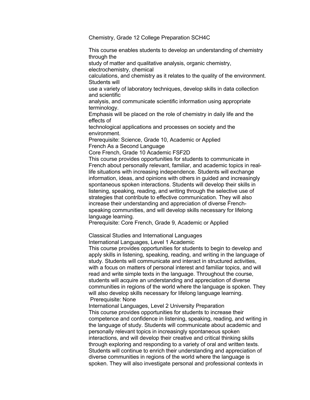Chemistry, Grade 12 College Preparation SCH4C

This course enables students to develop an understanding of chemistry through the study of matter and qualitative analysis, organic chemistry, electrochemistry, chemical calculations, and chemistry as it relates to the quality of the environment. Students will use a variety of laboratory techniques, develop skills in data collection and scientific analysis, and communicate scientific information using appropriate terminology. Emphasis will be placed on the role of chemistry in daily life and the effects of technological applications and processes on society and the environment. Prerequisite: Science, Grade 10, Academic or Applied French As a Second Language Core French, Grade 10 Academic FSF2D This course provides opportunities for students to communicate in French about personally relevant, familiar, and academic topics in reallife situations with increasing independence. Students will exchange information, ideas, and opinions with others in guided and increasingly spontaneous spoken interactions. Students will develop their skills in listening, speaking, reading, and writing through the selective use of strategies that contribute to effective communication. They will also increase their understanding and appreciation of diverse Frenchspeaking communities, and will develop skills necessary for lifelong language learning. Prerequisite: Core French, Grade 9, Academic or Applied Classical Studies and International Languages International Languages, Level 1 Academic This course provides opportunities for students to begin to develop and apply skills in listening, speaking, reading, and writing in the language of

study. Students will communicate and interact in structured activities, with a focus on matters of personal interest and familiar topics, and will read and write simple texts in the language. Throughout the course, students will acquire an understanding and appreciation of diverse communities in regions of the world where the language is spoken. They will also develop skills necessary for lifelong language learning. Prerequisite: None

International Languages, Level 2 University Preparation This course provides opportunities for students to increase their competence and confidence in listening, speaking, reading, and writing in the language of study. Students will communicate about academic and personally relevant topics in increasingly spontaneous spoken interactions, and will develop their creative and critical thinking skills through exploring and responding to a variety of oral and written texts. Students will continue to enrich their understanding and appreciation of diverse communities in regions of the world where the language is spoken. They will also investigate personal and professional contexts in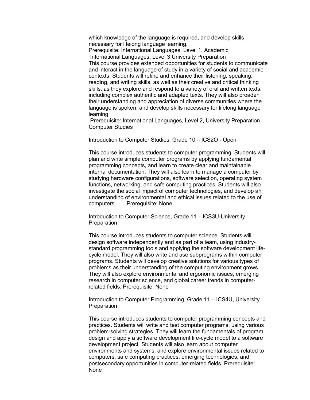which knowledge of the language is required, and develop skills necessary for lifelong language learning.

Prerequisite: International Languages, Level 1, Academic International Languages, Level 3 University Preparation This course provides extended opportunities for students to communicate and interact in the language of study in a variety of social and academic contexts. Students will refine and enhance their listening, speaking, reading, and writing skills, as well as their creative and critical thinking skills, as they explore and respond to a variety of oral and written texts, including complex authentic and adapted texts. They will also broaden their understanding and appreciation of diverse communities where the language is spoken, and develop skills necessary for lifelong language learning.

Prerequisite: International Languages, Level 2, University Preparation Computer Studies

Introduction to Computer Studies, Grade 10 – ICS2O - Open

This course introduces students to computer programming. Students will plan and write simple computer programs by applying fundamental programming concepts, and learn to create clear and maintainable internal documentation. They will also learn to manage a computer by studying hardware configurations, software selection, operating system functions, networking, and safe computing practices. Students will also investigate the social impact of computer technologies, and develop an understanding of environmental and ethical issues related to the use of computers. Prerequisite: None

Introduction to Computer Science, Grade 11 – ICS3U-University **Preparation** 

This course introduces students to computer science. Students will design software independently and as part of a team, using industrystandard programming tools and applying the software development lifecycle model. They will also write and use subprograms within computer programs. Students will develop creative solutions for various types of problems as their understanding of the computing environment grows. They will also explore environmental and ergonomic issues, emerging research in computer science, and global career trends in computerrelated fields. Prerequisite: None

Introduction to Computer Programming, Grade 11 – ICS4U, University **Preparation** 

This course introduces students to computer programming concepts and practices. Students will write and test computer programs, using various problem-solving strategies. They will learn the fundamentals of program design and apply a software development life-cycle model to a software development project. Students will also learn about computer environments and systems, and explore environmental issues related to computers, safe computing practices, emerging technologies, and postsecondary opportunities in computer-related fields. Prerequisite: None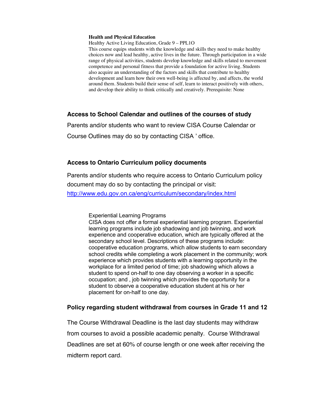#### **Health and Physical Education**

Healthy Active Living Education, Grade 9 – PPL1O

This course equips students with the knowledge and skills they need to make healthy choices now and lead healthy, active lives in the future. Through participation in a wide range of physical activities, students develop knowledge and skills related to movement competence and personal fitness that provide a foundation for active living. Students also acquire an understanding of the factors and skills that contribute to healthy development and learn how their own well-being is affected by, and affects, the world around them. Students build their sense of self, learn to interact positively with others, and develop their ability to think critically and creatively. Prerequisite: None

## **Access to School Calendar and outlines of the courses of study**

Parents and/or students who want to review CISA Course Calendar or

Course Outlines may do so by contacting CISA ' office.

## **Access to Ontario Curriculum policy documents**

Parents and/or students who require access to Ontario Curriculum policy document may do so by contacting the principal or visit: http://www.edu.gov.on.ca/eng/curriculum/secondary/index.html

Experiential Learning Programs

CISA does not offer a formal experiential learning program. Experiential learning programs include job shadowing and job twinning, and work experience and cooperative education, which are typically offered at the secondary school level. Descriptions of these programs include: cooperative education programs, which allow students to earn secondary school credits while completing a work placement in the community; work experience which provides students with a learning opportunity in the workplace for a limited period of time; job shadowing which allows a student to spend on-half to one day observing a worker in a specific occupation; and , job twinning which provides the opportunity for a student to observe a cooperative education student at his or her placement for on-half to one day.

#### **Policy regarding student withdrawal from courses in Grade 11 and 12**

The Course Withdrawal Deadline is the last day students may withdraw from courses to avoid a possible academic penalty. Course Withdrawal Deadlines are set at 60% of course length or one week after receiving the midterm report card.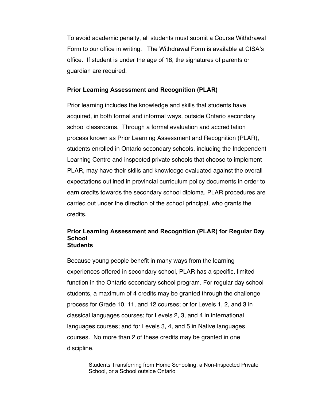To avoid academic penalty, all students must submit a Course Withdrawal Form to our office in writing. The Withdrawal Form is available at CISA's office. If student is under the age of 18, the signatures of parents or guardian are required.

## **Prior Learning Assessment and Recognition (PLAR)**

Prior learning includes the knowledge and skills that students have acquired, in both formal and informal ways, outside Ontario secondary school classrooms. Through a formal evaluation and accreditation process known as Prior Learning Assessment and Recognition (PLAR), students enrolled in Ontario secondary schools, including the Independent Learning Centre and inspected private schools that choose to implement PLAR, may have their skills and knowledge evaluated against the overall expectations outlined in provincial curriculum policy documents in order to earn credits towards the secondary school diploma. PLAR procedures are carried out under the direction of the school principal, who grants the credits.

#### **Prior Learning Assessment and Recognition (PLAR) for Regular Day School Students**

Because young people benefit in many ways from the learning experiences offered in secondary school, PLAR has a specific, limited function in the Ontario secondary school program. For regular day school students, a maximum of 4 credits may be granted through the challenge process for Grade 10, 11, and 12 courses; or for Levels 1, 2, and 3 in classical languages courses; for Levels 2, 3, and 4 in international languages courses; and for Levels 3, 4, and 5 in Native languages courses. No more than 2 of these credits may be granted in one discipline.

> Students Transferring from Home Schooling, a Non-Inspected Private School, or a School outside Ontario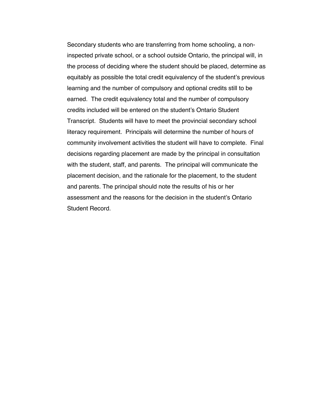Secondary students who are transferring from home schooling, a noninspected private school, or a school outside Ontario, the principal will, in the process of deciding where the student should be placed, determine as equitably as possible the total credit equivalency of the student's previous learning and the number of compulsory and optional credits still to be earned. The credit equivalency total and the number of compulsory credits included will be entered on the student's Ontario Student Transcript. Students will have to meet the provincial secondary school literacy requirement. Principals will determine the number of hours of community involvement activities the student will have to complete. Final decisions regarding placement are made by the principal in consultation with the student, staff, and parents. The principal will communicate the placement decision, and the rationale for the placement, to the student and parents. The principal should note the results of his or her assessment and the reasons for the decision in the student's Ontario Student Record.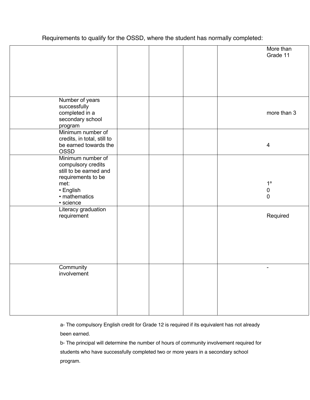Requirements to qualify for the OSSD, where the student has normally completed:

|                                              |  |  | More than<br>Grade 11 |
|----------------------------------------------|--|--|-----------------------|
|                                              |  |  |                       |
|                                              |  |  |                       |
|                                              |  |  |                       |
|                                              |  |  |                       |
| Number of years                              |  |  |                       |
| successfully<br>completed in a               |  |  | more than 3           |
| secondary school                             |  |  |                       |
| program<br>Minimum number of                 |  |  |                       |
| credits, in total, still to                  |  |  |                       |
| be earned towards the<br><b>OSSD</b>         |  |  | $\overline{4}$        |
| Minimum number of                            |  |  |                       |
| compulsory credits<br>still to be earned and |  |  |                       |
| requirements to be                           |  |  |                       |
| met:<br>• English                            |  |  | $1^a$<br>$\pmb{0}$    |
| • mathematics                                |  |  | $\mathbf 0$           |
| · science<br>Literacy graduation             |  |  |                       |
| requirement                                  |  |  | Required              |
|                                              |  |  |                       |
|                                              |  |  |                       |
|                                              |  |  |                       |
|                                              |  |  |                       |
|                                              |  |  |                       |
| Community<br>involvement                     |  |  | ٠                     |
|                                              |  |  |                       |
|                                              |  |  |                       |
|                                              |  |  |                       |
|                                              |  |  |                       |
|                                              |  |  |                       |

a- The compulsory English credit for Grade 12 is required if its equivalent has not already been earned.

b- The principal will determine the number of hours of community involvement required for students who have successfully completed two or more years in a secondary school program.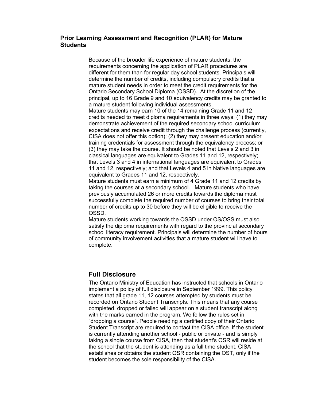#### **Prior Learning Assessment and Recognition (PLAR) for Mature Students**

Because of the broader life experience of mature students, the requirements concerning the application of PLAR procedures are different for them than for regular day school students. Principals will determine the number of credits, including compulsory credits that a mature student needs in order to meet the credit requirements for the Ontario Secondary School Diploma (OSSD). At the discretion of the principal, up to 16 Grade 9 and 10 equivalency credits may be granted to a mature student following individual assessments.

Mature students may earn 10 of the 14 remaining Grade 11 and 12 credits needed to meet diploma requirements in three ways: (1) they may demonstrate achievement of the required secondary school curriculum expectations and receive credit through the challenge process (currently, CISA does not offer this option); (2) they may present education and/or training credentials for assessment through the equivalency process; or (3) they may take the course. It should be noted that Levels 2 and 3 in classical languages are equivalent to Grades 11 and 12, respectively; that Levels 3 and 4 in international languages are equivalent to Grades 11 and 12, respectively; and that Levels 4 and 5 in Native languages are equivalent to Grades 11 and 12, respectively.

Mature students must earn a minimum of 4 Grade 11 and 12 credits by taking the courses at a secondary school. Mature students who have previously accumulated 26 or more credits towards the diploma must successfully complete the required number of courses to bring their total number of credits up to 30 before they will be eligible to receive the OSSD.

Mature students working towards the OSSD under OS/OSS must also satisfy the diploma requirements with regard to the provincial secondary school literacy requirement. Principals will determine the number of hours of community involvement activities that a mature student will have to complete.

# **Full Disclosure**

The Ontario Ministry of Education has instructed that schools in Ontario implement a policy of full disclosure in September 1999. This policy states that all grade 11, 12 courses attempted by students must be recorded on Ontario Student Transcripts. This means that any course completed, dropped or failed will appear on a student transcript along with the marks earned in the program. We follow the rules set in "dropping a course". People needing a certified copy of their Ontario Student Transcript are required to contact the CISA office. If the student is currently attending another school - public or private - and is simply taking a single course from CISA, then that student's OSR will reside at the school that the student is attending as a full time student. CISA establishes or obtains the student OSR containing the OST, only if the student becomes the sole responsibility of the CISA.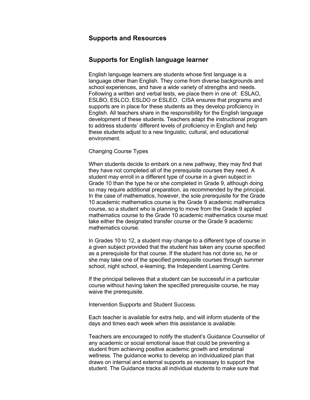## **Supports and Resources**

## **Supports for English language learner**

English language learners are students whose first language is a language other than English. They come from diverse backgrounds and school experiences, and have a wide variety of strengths and needs. Following a written and verbal tests, we place them in one of: ESLAO, ESLBO, ESLCO, ESLDO or ESLEO. CISA ensures that programs and supports are in place for these students as they develop proficiency in English. All teachers share in the responsibility for the English language development of these students. Teachers adapt the instructional program to address students' different levels of proficiency in English and help these students adjust to a new linguistic, cultural, and educational environment.

#### Changing Course Types

When students decide to embark on a new pathway, they may find that they have not completed all of the prerequisite courses they need. A student may enroll in a different type of course in a given subject in Grade 10 than the type he or she completed in Grade 9, although doing so may require additional preparation, as recommended by the principal. In the case of mathematics, however, the sole prerequisite for the Grade 10 academic mathematics course is the Grade 9 academic mathematics course, so a student who is planning to move from the Grade 9 applied mathematics course to the Grade 10 academic mathematics course must take either the designated transfer course or the Grade 9 academic mathematics course.

In Grades 10 to 12, a student may change to a different type of course in a given subject provided that the student has taken any course specified as a prerequisite for that course. If the student has not done so, he or she may take one of the specified prerequisite courses through summer school, night school, e-learning, the Independent Learning Centre.

If the principal believes that a student can be successful in a particular course without having taken the specified prerequisite course, he may waive the prerequisite.

Intervention Supports and Student Success.

Each teacher is available for extra help, and will inform students of the days and times each week when this assistance is available.

Teachers are encouraged to notify the student's Guidance Counsellor of any academic or social emotional issue that could be preventing a student from achieving positive academic growth and emotional wellness. The guidance works to develop an individualized plan that draws on internal and external supports as necessary to support the student. The Guidance tracks all individual students to make sure that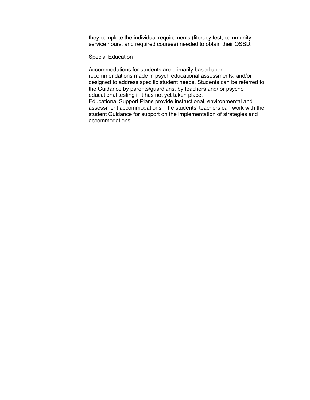they complete the individual requirements (literacy test, community service hours, and required courses) needed to obtain their OSSD.

Special Education

Accommodations for students are primarily based upon recommendations made in psych educational assessments, and/or designed to address specific student needs. Students can be referred to the Guidance by parents/guardians, by teachers and/ or psycho educational testing if it has not yet taken place. Educational Support Plans provide instructional, environmental and

assessment accommodations. The students' teachers can work with the student Guidance for support on the implementation of strategies and accommodations.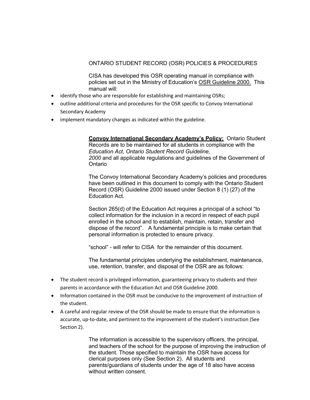#### ONTARIO STUDENT RECORD (OSR) POLICIES & PROCEDURES

CISA has developed this OSR operating manual in compliance with policies set out in the Ministry of Education's OSR Guideline 2000. This manual will:

- identify those who are responsible for establishing and maintaining OSRs;
- outline additional criteria and procedures for the OSR specific to Convoy International Secondary Academy
- implement mandatory changes as indicated within the guideline.

**Convoy International Secondary Academy's Policy:** Ontario Student Records are to be maintained for all students in compliance with the *Education Act*, *Ontario Student Record Guideline, 2000* and all applicable regulations and guidelines of the Government of Ontario

The Convoy International Secondary Academy's policies and procedures have been outlined in this document to comply with the Ontario Student Record (OSR) Guideline 2000 issued under Section 8 (1) (27) of the Education Act.

Section 265(d) of the Education Act requires a principal of a school "to collect information for the inclusion in a record in respect of each pupil enrolled in the school and to establish, maintain, retain, transfer and dispose of the record". A fundamental principle is to make certain that personal information is protected to ensure privacy.

"school" - will refer to CISA for the remainder of this document.

The fundamental principles underlying the establishment, maintenance, use, retention, transfer, and disposal of the OSR are as follows:

- The student record is privileged information, guaranteeing privacy to students and their parents in accordance with the Education Act and OSR Guideline 2000.
- Information contained in the OSR must be conducive to the improvement of instruction of the student.
- A careful and regular review of the OSR should be made to ensure that the information is accurate, up-to-date, and pertinent to the improvement of the student's instruction (See Section 2).

The information is accessible to the supervisory officers, the principal, and teachers of the school for the purpose of improving the instruction of the student. Those specified to maintain the OSR have access for clerical purposes only (See Section 2). All students and parents/guardians of students under the age of 18 also have access without written consent.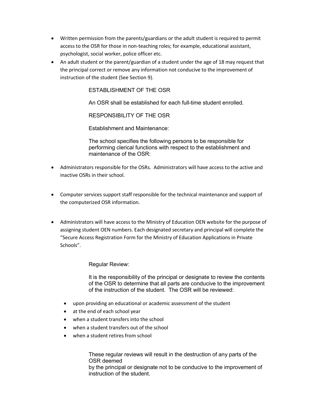- Written permission from the parents/guardians or the adult student is required to permit access to the OSR for those in non-teaching roles; for example, educational assistant, psychologist, social worker, police officer etc.
- An adult student or the parent/guardian of a student under the age of 18 may request that the principal correct or remove any information not conducive to the improvement of instruction of the student (See Section 9).

ESTABLISHMENT OF THE OSR

An OSR shall be established for each full-time student enrolled.

RESPONSIBILITY OF THE OSR

Establishment and Maintenance:

The school specifies the following persons to be responsible for performing clerical functions with respect to the establishment and maintenance of the OSR:

- Administrators responsible for the OSRs. Administrators will have access to the active and inactive OSRs in their school.
- Computer services support staff responsible for the technical maintenance and support of the computerized OSR information.
- Administrators will have access to the Ministry of Education OEN website for the purpose of assigning student OEN numbers. Each designated secretary and principal will complete the "Secure Access Registration Form for the Ministry of Education Applications in Private Schools".

Regular Review:

It is the responsibility of the principal or designate to review the contents of the OSR to determine that all parts are conducive to the improvement of the instruction of the student. The OSR will be reviewed:

- upon providing an educational or academic assessment of the student
- at the end of each school year
- when a student transfers into the school
- when a student transfers out of the school
- when a student retires from school

These regular reviews will result in the destruction of any parts of the OSR deemed by the principal or designate not to be conducive to the improvement of instruction of the student.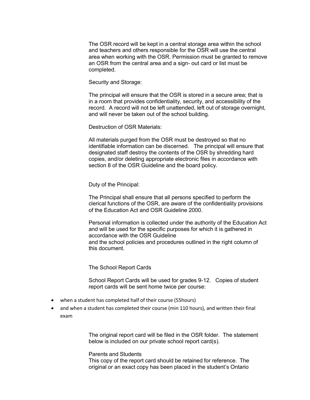The OSR record will be kept in a central storage area within the school and teachers and others responsible for the OSR will use the central area when working with the OSR. Permission must be granted to remove an OSR from the central area and a sign- out card or list must be completed.

Security and Storage:

The principal will ensure that the OSR is stored in a secure area; that is in a room that provides confidentiality, security, and accessibility of the record. A record will not be left unattended, left out of storage overnight, and will never be taken out of the school building.

Destruction of OSR Materials:

All materials purged from the OSR must be destroyed so that no identifiable information can be discerned. The principal will ensure that designated staff destroy the contents of the OSR by shredding hard copies, and/or deleting appropriate electronic files in accordance with section 8 of the OSR Guideline and the board policy.

Duty of the Principal:

The Principal shall ensure that all persons specified to perform the clerical functions of the OSR, are aware of the confidentiality provisions of the Education Act and OSR Guideline 2000.

Personal information is collected under the authority of the Education Act and will be used for the specific purposes for which it is gathered in accordance with the OSR Guideline and the school policies and procedures outlined in the right column of this document.

The School Report Cards

School Report Cards will be used for grades 9-12. Copies of student report cards will be sent home twice per course:

- when a student has completed half of their course (55hours)
- and when a student has completed their course (min 110 hours), and written their final exam

The original report card will be filed in the OSR folder. The statement below is included on our private school report card(s).

Parents and Students This copy of the report card should be retained for reference. The original or an exact copy has been placed in the student's Ontario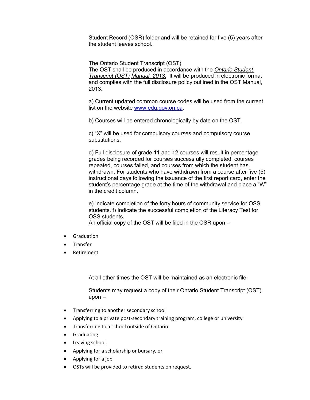Student Record (OSR) folder and will be retained for five (5) years after the student leaves school.

The Ontario Student Transcript (OST) The OST shall be produced in accordance with the *Ontario Student Transcript (OST) Manual, 2013.* It will be produced in electronic format and complies with the full disclosure policy outlined in the OST Manual, 2013.

a) Current updated common course codes will be used from the current list on the website www.edu.gov.on.ca.

b) Courses will be entered chronologically by date on the OST.

c) "X" will be used for compulsory courses and compulsory course substitutions.

d) Full disclosure of grade 11 and 12 courses will result in percentage grades being recorded for courses successfully completed, courses repeated, courses failed, and courses from which the student has withdrawn. For students who have withdrawn from a course after five (5) instructional days following the issuance of the first report card, enter the student's percentage grade at the time of the withdrawal and place a "W" in the credit column.

e) Indicate completion of the forty hours of community service for OSS students. f) Indicate the successful completion of the Literacy Test for OSS students.

An official copy of the OST will be filed in the OSR upon –

- **Graduation**
- **Transfer**
- Retirement

At all other times the OST will be maintained as an electronic file.

Students may request a copy of their Ontario Student Transcript (OST) upon –

- Transferring to another secondary school
- Applying to a private post-secondary training program, college or university
- Transferring to a school outside of Ontario
- Graduating
- Leaving school
- Applying for a scholarship or bursary, or
- Applying for a job
- OSTs will be provided to retired students on request.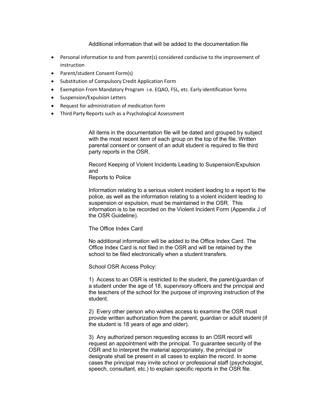Additional information that will be added to the documentation file

- Personal information to and from parent(s) considered conducive to the improvement of instruction
- Parent/student Consent Form(s)
- Substitution of Compulsory Credit Application Form
- Exemption From Mandatory Program i.e. EQAO, FSL, etc. Early identification forms
- Suspension/Expulsion Letters
- Request for administration of medication form
- Third Party Reports such as a Psychological Assessment

All items in the documentation file will be dated and grouped by subject with the most recent item of each group on the top of the file. Written parental consent or consent of an adult student is required to file third party reports in the OSR.

Record Keeping of Violent Incidents Leading to Suspension/Expulsion and

Reports to Police

Information relating to a serious violent incident leading to a report to the police, as well as the information relating to a violent incident leading to suspension or expulsion, must be maintained in the OSR. This information is to be recorded on the Violent Incident Form (Appendix J of the OSR Guideline).

The Office Index Card

No additional information will be added to the Office Index Card. The Office Index Card is not filed in the OSR and will be retained by the school to be filed electronically when a student transfers.

School OSR Access Policy:

1) Access to an OSR is restricted to the student, the parent/guardian of a student under the age of 18, supervisory officers and the principal and the teachers of the school for the purpose of improving instruction of the student.

2) Every other person who wishes access to examine the OSR must provide written authorization from the parent, guardian or adult student (if the student is 18 years of age and older).

3) Any authorized person requesting access to an OSR record will request an appointment with the principal. To guarantee security of the OSR and to interpret the material appropriately, the principal or designate shall be present in all cases to explain the record. In some cases the principal may invite school or professional staff (psychologist, speech, consultant, etc.) to explain specific reports in the OSR file.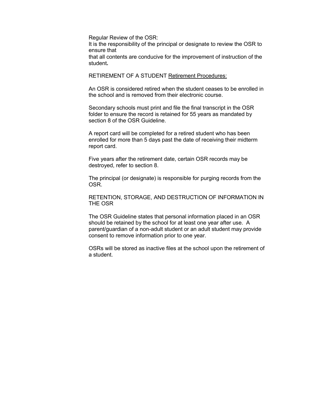Regular Review of the OSR:

It is the responsibility of the principal or designate to review the OSR to ensure that

that all contents are conducive for the improvement of instruction of the student**.** 

RETIREMENT OF A STUDENT Retirement Procedures:

An OSR is considered retired when the student ceases to be enrolled in the school and is removed from their electronic course.

Secondary schools must print and file the final transcript in the OSR folder to ensure the record is retained for 55 years as mandated by section 8 of the OSR Guideline.

A report card will be completed for a retired student who has been enrolled for more than 5 days past the date of receiving their midterm report card.

Five years after the retirement date, certain OSR records may be destroyed, refer to section 8.

The principal (or designate) is responsible for purging records from the OSR.

RETENTION, STORAGE, AND DESTRUCTION OF INFORMATION IN THE OSR

The OSR Guideline states that personal information placed in an OSR should be retained by the school for at least one year after use. A parent/guardian of a non-adult student or an adult student may provide consent to remove information prior to one year.

OSRs will be stored as inactive files at the school upon the retirement of a student.